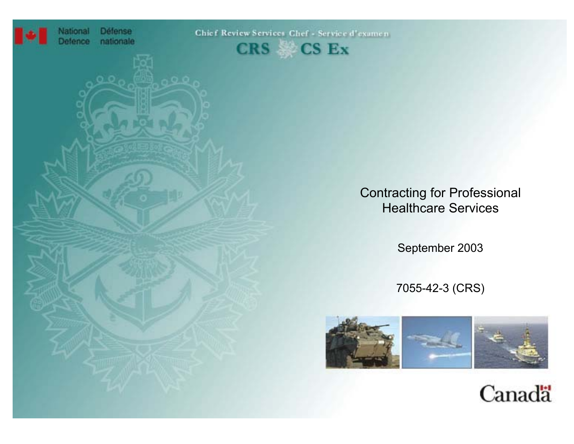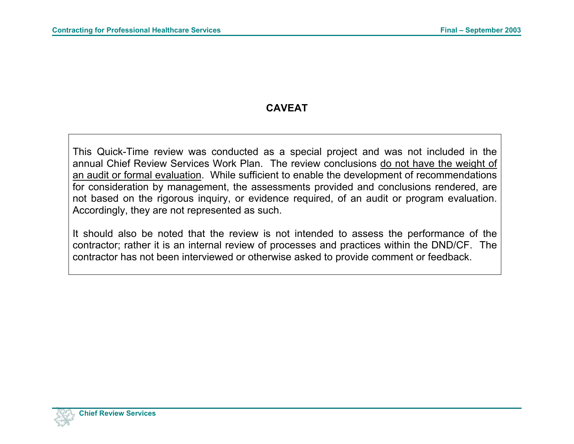# **CAVEAT**

This Quick-Time review was conducted as a special project and was not included in the annual Chief Review Services Work Plan. The review conclusions <u>do not have the weight of</u> an audit or formal evaluation. While sufficient to enable the development of recommendations for consideration by management, the assessments provided and conclusions rendered, are not based on the rigorous inquiry, or evidence required, of an audit or program evaluation. Accordingly, they are not represented as such.

It should also be noted that the review is not intended to assess the performance of the contractor; rather it is an internal review of processes and practices within the DND/CF. The contractor has not been interviewed or otherwise asked to provide comment or feedback.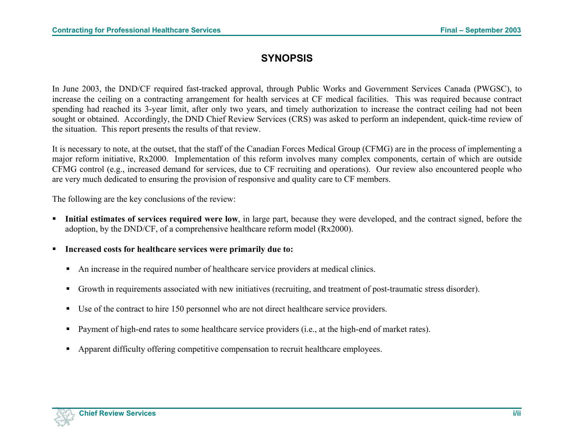## **SYNOPSIS**

In June 2003, the DND/CF required fast-tracked approval, through Public Works and Government Services Canada (PWGSC), to increase the ceiling on a contracting arrangement for health services at CF medical facilities. This was required because contract spending had reached its 3-year limit, after only two years, and timely authorization to increase the contract ceiling had not been sought or obtained. Accordingly, the DND Chief Review Services (CRS) was asked to perform an independent, quick-time review of the situation. This report presents the results of that review.

It is necessary to note, at the outset, that the staff of the Canadian Forces Medical Group (CFMG) are in the process of implementing a major reform initiative, Rx2000. Implementation of this reform involves many complex components, certain of which are outside CFMG control (e.g., increased demand for services, due to CF recruiting and operations). Our review also encountered people who are very much dedicated to ensuring the provision of responsive and quality care to CF members.

The following are the key conclusions of the review:

- **Initial estimates of services required were low**, in large part, because they were developed, and the contract signed, before the adoption, by the DND/CF, of a comprehensive healthcare reform model (Rx2000).
- **Increased costs for healthcare services were primarily due to:**
	- An increase in the required number of healthcare service providers at medical clinics.
	- Growth in requirements associated with new initiatives (recruiting, and treatment of post-traumatic stress disorder).
	- Use of the contract to hire 150 personnel who are not direct healthcare service providers.
	- **Payment of high-end rates to some healthcare service providers (i.e., at the high-end of market rates).**
	- Apparent difficulty offering competitive compensation to recruit healthcare employees.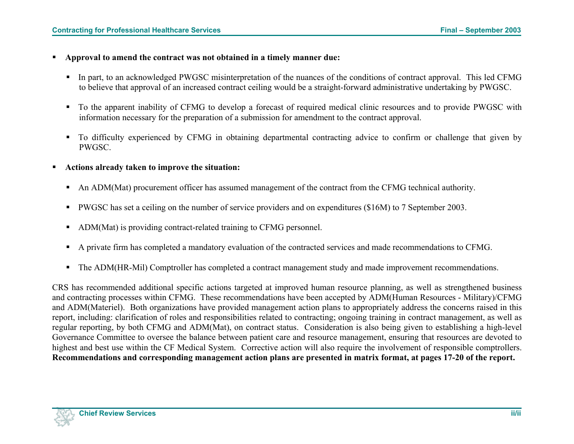- **Approval to amend the contract was not obtained in a timely manner due:**
	- In part, to an acknowledged PWGSC misinterpretation of the nuances of the conditions of contract approval. This led CFMG to believe that approval of an increased contract ceiling would be a straight-forward administrative undertaking by PWGSC.
	- To the apparent inability of CFMG to develop a forecast of required medical clinic resources and to provide PWGSC with information necessary for the preparation of a submission for amendment to the contract approval.
	- To difficulty experienced by CFMG in obtaining departmental contracting advice to confirm or challenge that given by PWGSC.
- **Actions already taken to improve the situation:**
	- An ADM(Mat) procurement officer has assumed management of the contract from the CFMG technical authority.
	- PWGSC has set a ceiling on the number of service providers and on expenditures (\$16M) to 7 September 2003.
	- ADM(Mat) is providing contract-related training to CFMG personnel.
	- A private firm has completed a mandatory evaluation of the contracted services and made recommendations to CFMG.
	- The ADM(HR-Mil) Comptroller has completed a contract management study and made improvement recommendations.

CRS has recommended additional specific actions targeted at improved human resource planning, as well as strengthened business and contracting processes within CFMG. These recommendations have been accepted by ADM(Human Resources - Military)/CFMG and ADM(Materiel). Both organizations have provided management action plans to appropriately address the concerns raised in this report, including: clarification of roles and responsibilities related to contracting; ongoing training in contract management, as well as regular reporting, by both CFMG and ADM(Mat), on contract status. Consideration is also being given to establishing a high-level Governance Committee to oversee the balance between patient care and resource management, ensuring that resources are devoted to highest and best use within the CF Medical System. Corrective action will also require the involvement of responsible comptrollers. **Recommendations and corresponding management action plans are presented in matrix format, at pages 17-20 of the report.**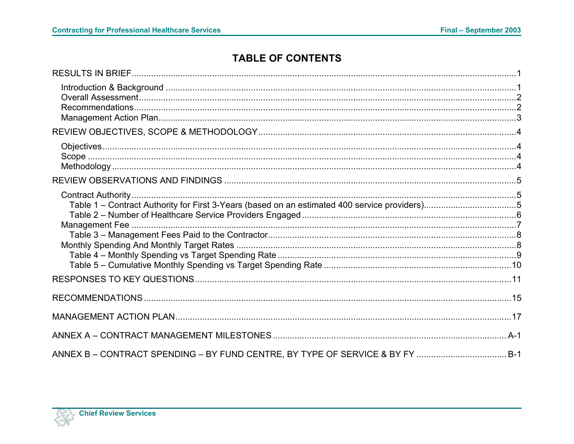# **TABLE OF CONTENTS**

| Table 1 - Contract Authority for First 3-Years (based on an estimated 400 service providers)5 |  |
|-----------------------------------------------------------------------------------------------|--|
|                                                                                               |  |
|                                                                                               |  |
|                                                                                               |  |
|                                                                                               |  |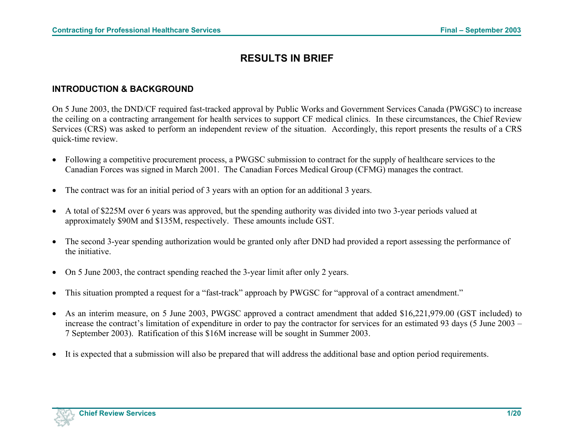## **RESULTS IN BRIEF**

#### <span id="page-5-0"></span>**INTRODUCTION & BACKGROUND**

On 5 June 2003, the DND/CF required fast-tracked approval by Public Works and Government Services Canada (PWGSC) to increase the ceiling on a contracting arrangement for health services to support CF medical clinics. In these circumstances, the Chief Review Services (CRS) was asked to perform an independent review of the situation. Accordingly, this report presents the results of a CRS quick-time review.

- Following a competitive procurement process, a PWGSC submission to contract for the supply of healthcare services to the Canadian Forces was signed in March 2001. The Canadian Forces Medical Group (CFMG) manages the contract.
- The contract was for an initial period of 3 years with an option for an additional 3 years.
- A total of \$225M over 6 years was approved, but the spending authority was divided into two 3-year periods valued at approximately \$90M and \$135M, respectively. These amounts include GST.
- The second 3-year spending authorization would be granted only after DND had provided a report assessing the performance of the initiative.
- On 5 June 2003, the contract spending reached the 3-year limit after only 2 years.
- This situation prompted a request for a "fast-track" approach by PWGSC for "approval of a contract amendment."
- As an interim measure, on 5 June 2003, PWGSC approved a contract amendment that added \$16,221,979.00 (GST included) to increase the contract's limitation of expenditure in order to pay the contractor for services for an estimated 93 days (5 June 2003 – 7 September 2003). Ratification of this \$16M increase will be sought in Summer 2003.
- It is expected that a submission will also be prepared that will address the additional base and option period requirements.

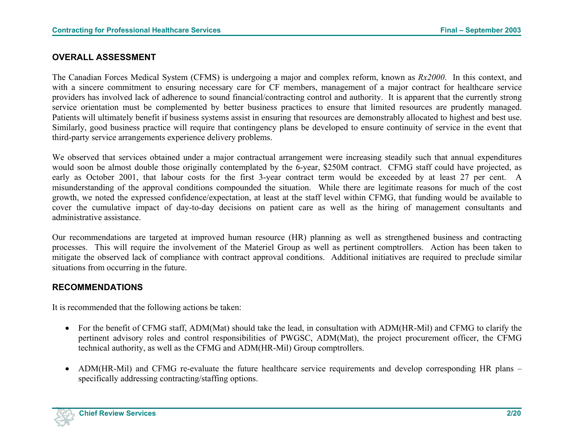### <span id="page-6-0"></span>**OVERALL ASSESSMENT**

The Canadian Forces Medical System (CFMS) is undergoing a major and complex reform, known as *Rx2000*. In this context, and with a sincere commitment to ensuring necessary care for CF members, management of a major contract for healthcare service providers has involved lack of adherence to sound financial/contracting control and authority. It is apparent that the currently strong service orientation must be complemented by better business practices to ensure that limited resources are prudently managed. Patients will ultimately benefit if business systems assist in ensuring that resources are demonstrably allocated to highest and best use. Similarly, good business practice will require that contingency plans be developed to ensure continuity of service in the event that third-party service arrangements experience delivery problems.

We observed that services obtained under a major contractual arrangement were increasing steadily such that annual expenditures would soon be almost double those originally contemplated by the 6-year, \$250M contract. CFMG staff could have projected, as early as October 2001, that labour costs for the first 3-year contract term would be exceeded by at least 27 per cent. A misunderstanding of the approval conditions compounded the situation. While there are legitimate reasons for much of the cost growth, we noted the expressed confidence/expectation, at least at the staff level within CFMG, that funding would be available to cover the cumulative impact of day-to-day decisions on patient care as well as the hiring of management consultants and administrative assistance.

Our recommendations are targeted at improved human resource (HR) planning as well as strengthened business and contracting processes. This will require the involvement of the Materiel Group as well as pertinent comptrollers. Action has been taken to mitigate the observed lack of compliance with contract approval conditions. Additional initiatives are required to preclude similar situations from occurring in the future.

### **RECOMMENDATIONS**

It is recommended that the following actions be taken:

- For the benefit of CFMG staff, ADM(Mat) should take the lead, in consultation with ADM(HR-Mil) and CFMG to clarify the pertinent advisory roles and control responsibilities of PWGSC, ADM(Mat), the project procurement officer, the CFMG technical authority, as well as the CFMG and ADM(HR-Mil) Group comptrollers.
- ADM(HR-Mil) and CFMG re-evaluate the future healthcare service requirements and develop corresponding HR plans specifically addressing contracting/staffing options.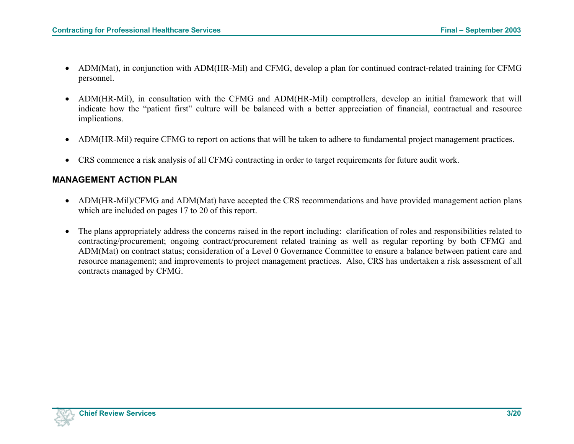- <span id="page-7-0"></span>• ADM(Mat), in conjunction with ADM(HR-Mil) and CFMG, develop a plan for continued contract-related training for CFMG personnel.
- ADM(HR-Mil), in consultation with the CFMG and ADM(HR-Mil) comptrollers, develop an initial framework that will indicate how the "patient first" culture will be balanced with a better appreciation of financial, contractual and resource implications.
- ADM(HR-Mil) require CFMG to report on actions that will be taken to adhere to fundamental project management practices.
- CRS commence a risk analysis of all CFMG contracting in order to target requirements for future audit work.

### **MANAGEMENT ACTION PLAN**

- ADM(HR-Mil)/CFMG and ADM(Mat) have accepted the CRS recommendations and have provided management action plans which are included on pages 17 to 20 of this report.
- The plans appropriately address the concerns raised in the report including: clarification of roles and responsibilities related to contracting/procurement; ongoing contract/procurement related training as well as regular reporting by both CFMG and ADM(Mat) on contract status; consideration of a Level 0 Governance Committee to ensure a balance between patient care and resource management; and improvements to project management practices. Also, CRS has undertaken a risk assessment of all contracts managed by CFMG.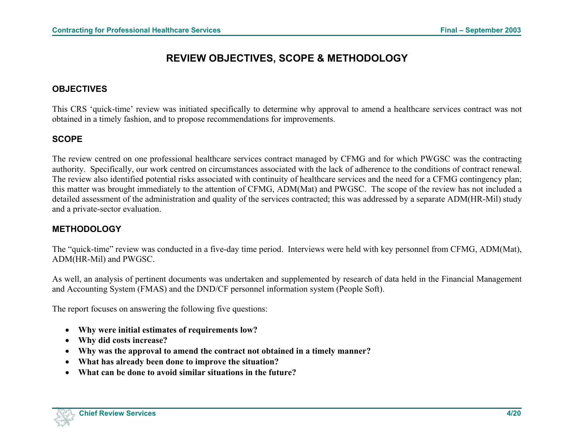# **REVIEW OBJECTIVES, SCOPE & METHODOLOGY**

### <span id="page-8-0"></span>**OBJECTIVES**

This CRS 'quick-time' review was initiated specifically to determine why approval to amend a healthcare services contract was not obtained in a timely fashion, and to propose recommendations for improvements.

### **SCOPE**

The review centred on one professional healthcare services contract managed by CFMG and for which PWGSC was the contracting authority. Specifically, our work centred on circumstances associated with the lack of adherence to the conditions of contract renewal. The review also identified potential risks associated with continuity of healthcare services and the need for a CFMG contingency plan; this matter was brought immediately to the attention of CFMG, ADM(Mat) and PWGSC. The scope of the review has not included a detailed assessment of the administration and quality of the services contracted; this was addressed by a separate ADM(HR-Mil) study and a private-sector evaluation.

## **METHODOLOGY**

The "quick-time" review was conducted in a five-day time period. Interviews were held with key personnel from CFMG, ADM(Mat), ADM(HR-Mil) and PWGSC.

As well, an analysis of pertinent documents was undertaken and supplemented by research of data held in the Financial Management and Accounting System (FMAS) and the DND/CF personnel information system (People Soft).

The report focuses on answering the following five questions:

- **Why were initial estimates of requirements low?**
- **Why did costs increase?**
- **Why was the approval to amend the contract not obtained in a timely manner?**
- **What has already been done to improve the situation?**
- **What can be done to avoid similar situations in the future?**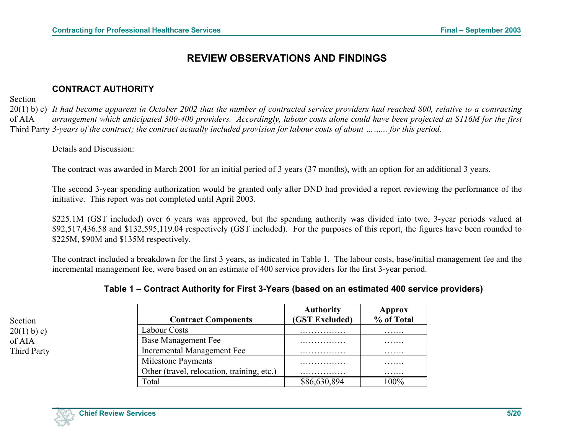# **REVIEW OBSERVATIONS AND FINDINGS**

### **CONTRACT AUTHORITY**

<span id="page-9-0"></span>Section

Section  $20(1)$  b) c) of AIA Third Party

20(1) b) c) *It had become apparent in October 2002 that the number of contracted service providers had reached 800, relative to a contracting*  of AIA Third Party *3-years of the contract; the contract actually included provision for labour costs of about ……... for this period. arrangement which anticipated 300-400 providers. Accordingly, labour costs alone could have been projected at \$116M for the first* 

#### Details and Discussion:

The contract was awarded in March 2001 for an initial period of 3 years (37 months), with an option for an additional 3 years.

The second 3-year spending authorization would be granted only after DND had provided a report reviewing the performance of the initiative. This report was not completed until April 2003.

\$225.1M (GST included) over 6 years was approved, but the spending authority was divided into two, 3-year periods valued at \$92,517,436.58 and \$132,595,119.04 respectively (GST included). For the purposes of this report, the figures have been rounded to \$225M, \$90M and \$135M respectively.

The contract included a breakdown for the first 3 years, as indicated in Table 1. The labour costs, base/initial management fee and the incremental management fee, were based on an estimate of 400 service providers for the first 3-year period.

| Table 1 – Contract Authority for First 3-Years (based on an estimated 400 service providers) |  |  |
|----------------------------------------------------------------------------------------------|--|--|
|----------------------------------------------------------------------------------------------|--|--|

|                                            | <b>Authority</b> | Approx     |
|--------------------------------------------|------------------|------------|
| <b>Contract Components</b>                 | (GST Excluded)   | % of Total |
| <b>Labour Costs</b>                        |                  | .          |
| <b>Base Management Fee</b>                 |                  | .          |
| Incremental Management Fee                 |                  | .          |
| <b>Milestone Payments</b>                  |                  | .          |
| Other (travel, relocation, training, etc.) |                  | .          |
| Total                                      | \$86,630,894     |            |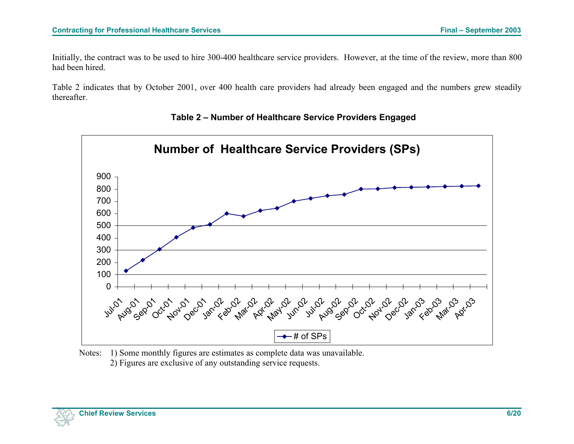<span id="page-10-0"></span>Initially, the contract was to be used to hire 300-400 healthcare service providers. However, at the time of the review, more than 800 had been hired.

Table 2 indicates that by October 2001, over 400 health care providers had already been engaged and the numbers grew steadily thereafter.





Notes: 1) Some monthly figures are estimates as complete data was unavailable. 2) Figures are exclusive of any outstanding service requests.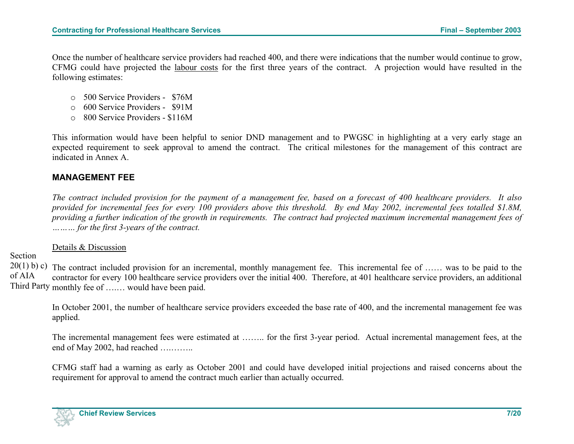<span id="page-11-0"></span>Once the number of healthcare service providers had reached 400, and there were indications that the number would continue to grow, CFMG could have projected the labour costs for the first three years of the contract. A projection would have resulted in the following estimates:

- <sup>o</sup>500 Service Providers \$76M
- <sup>o</sup>600 Service Providers \$91M
- $\circ$  800 Service Providers \$116M

This information would have been helpful to senior DND management and to PWGSC in highlighting at a very early stage an expected requirement to seek approval to amend the contract. The critical milestones for the management of this contract are indicated in Annex A.

### **MANAGEMENT FEE**

*The contract included provision for the payment of a management fee, based on a forecast of 400 healthcare providers. It also provided for incremental fees for every 100 providers above this threshold. By end May 2002, incremental fees totalled \$1.8M, providing a further indication of the growth in requirements. The contract had projected maximum incremental management fees of ……… for the first 3-years of the contract.* 

Details & Discussion

Section

 $20(1)$  b) c) The contract included provision for an incremental, monthly management fee. This incremental fee of ...... was to be paid to the of AIA Third Party monthly fee of ….… would have been paid. contractor for every 100 healthcare service providers over the initial 400. Therefore, at 401 healthcare service providers, an additional

In October 2001, the number of healthcare service providers exceeded the base rate of 400, and the incremental management fee was applied.

The incremental management fees were estimated at …….. for the first 3-year period. Actual incremental management fees, at the end of May 2002, had reached ….……..

CFMG staff had a warning as early as October 2001 and could have developed initial projections and raised concerns about the requirement for approval to amend the contract much earlier than actually occurred.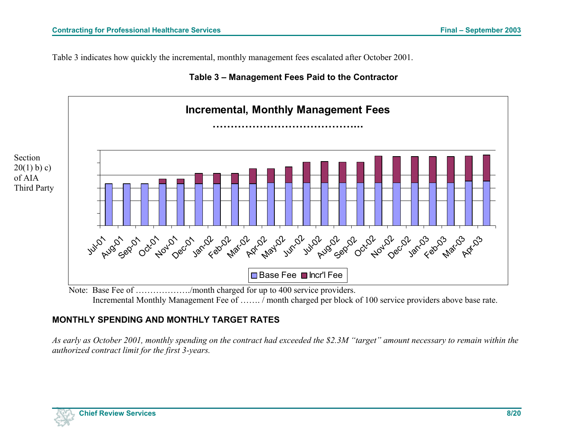<span id="page-12-0"></span>Table 3 indicates how quickly the incremental, monthly management fees escalated after October 2001.





Note: Base Fee of ………………./month charged for up to 400 service providers. Incremental Monthly Management Fee of ……. / month charged per block of 100 service providers above base rate.

## **MONTHLY SPENDING AND MONTHLY TARGET RATES**

*As early as October 2001, monthly spending on the contract had exceeded the \$2.3M "target" amount necessary to remain within the authorized contract limit for the first 3-years.*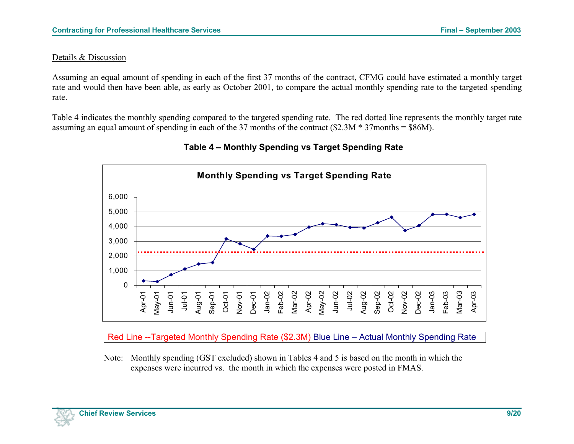#### <span id="page-13-0"></span>Details & Discussion

Assuming an equal amount of spending in each of the first 37 months of the contract, CFMG could have estimated a monthly target rate and would then have been able, as early as October 2001, to compare the actual monthly spending rate to the targeted spending rate.

Table 4 indicates the monthly spending compared to the targeted spending rate. The red dotted line represents the monthly target rate assuming an equal amount of spending in each of the 37 months of the contract (\$2.3M \* 37months = \$86M).



## **Table 4 – Monthly Spending vs Target Spending Rate**

Red Line --Targeted Monthly Spending Rate (\$2.3M) Blue Line – Actual Monthly Spending Rate

Note: Monthly spending (GST excluded) shown in Tables 4 and 5 is based on the month in which the expenses were incurred vs. the month in which the expenses were posted in FMAS.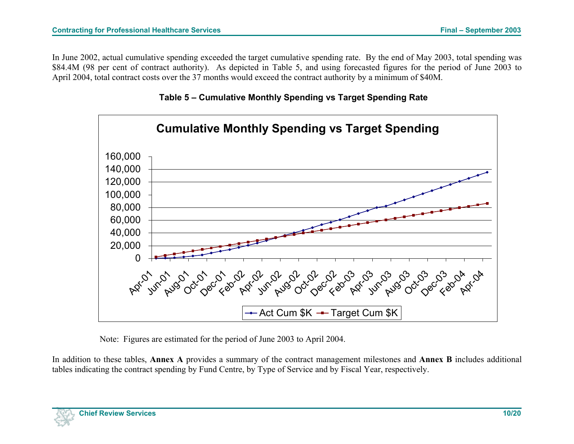<span id="page-14-0"></span>In June 2002, actual cumulative spending exceeded the target cumulative spending rate. By the end of May 2003, total spending was \$84.4M (98 per cent of contract authority). As depicted in Table 5, and using forecasted figures for the period of June 2003 to April 2004, total contract costs over the 37 months would exceed the contract authority by a minimum of \$40M.





Note: Figures are estimated for the period of June 2003 to April 2004.

In addition to these tables, **Annex A** provides a summary of the contract management milestones and **Annex B** includes additional tables indicating the contract spending by Fund Centre, by Type of Service and by Fiscal Year, respectively.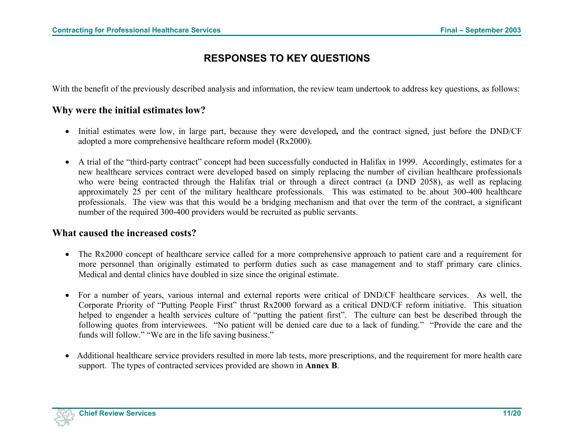# **RESPONSES TO KEY QUESTIONS**

<span id="page-15-0"></span>With the benefit of the previously described analysis and information, the review team undertook to address key questions, as follows:

## **Why were the initial estimates low?**

- Initial estimates were low, in large part, because they were developed**,** and the contract signed, just before the DND/CF adopted a more comprehensive healthcare reform model (Rx2000).
- A trial of the "third-party contract" concept had been successfully conducted in Halifax in 1999. Accordingly, estimates for a new healthcare services contract were developed based on simply replacing the number of civilian healthcare professionals who were being contracted through the Halifax trial or through a direct contract (a DND 2058), as well as replacing approximately 25 per cent of the military healthcare professionals. This was estimated to be about 300-400 healthcare professionals. The view was that this would be a bridging mechanism and that over the term of the contract, a significant number of the required 300-400 providers would be recruited as public servants.

### **What caused the increased costs?**

- The Rx2000 concept of healthcare service called for a more comprehensive approach to patient care and a requirement for more personnel than originally estimated to perform duties such as case management and to staff primary care clinics. Medical and dental clinics have doubled in size since the original estimate.
- For a number of years, various internal and external reports were critical of DND/CF healthcare services. As well, the Corporate Priority of "Putting People First" thrust Rx2000 forward as a critical DND/CF reform initiative. This situation helped to engender a health services culture of "putting the patient first". The culture can best be described through the following quotes from interviewees. "No patient will be denied care due to a lack of funding." "Provide the care and the funds will follow." "We are in the life saving business."
- Additional healthcare service providers resulted in more lab tests, more prescriptions, and the requirement for more health care support. The types of contracted services provided are shown in **Annex B**.

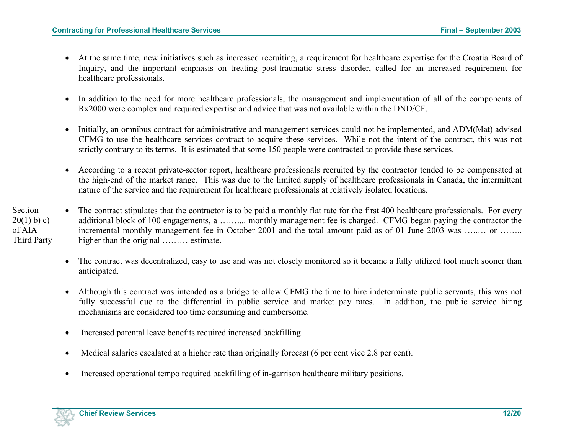- At the same time, new initiatives such as increased recruiting, a requirement for healthcare expertise for the Croatia Board of Inquiry, and the important emphasis on treating post-traumatic stress disorder, called for an increased requirement for healthcare professionals.
- In addition to the need for more healthcare professionals, the management and implementation of all of the components of Rx2000 were complex and required expertise and advice that was not available within the DND/CF.
- Initially, an omnibus contract for administrative and management services could not be implemented, and ADM(Mat) advised CFMG to use the healthcare services contract to acquire these services. While not the intent of the contract, this was not strictly contrary to its terms. It is estimated that some 150 people were contracted to provide these services.
- According to a recent private-sector report, healthcare professionals recruited by the contractor tended to be compensated at the high-end of the market range. This was due to the limited supply of healthcare professionals in Canada, the intermittent nature of the service and the requirement for healthcare professionals at relatively isolated locations.
- Section  $20(1)$  b) c) of AIA Third Party • The contract stipulates that the contractor is to be paid a monthly flat rate for the first 400 healthcare professionals. For every additional block of 100 engagements, a …….... monthly management fee is charged. CFMG began paying the contractor the incremental monthly management fee in October 2001 and the total amount paid as of 01 June 2003 was …..... or …….. higher than the original ……… estimate.
	- The contract was decentralized, easy to use and was not closely monitored so it became a fully utilized tool much sooner than anticipated.
	- Although this contract was intended as a bridge to allow CFMG the time to hire indeterminate public servants, this was not fully successful due to the differential in public service and market pay rates. In addition, the public service hiring mechanisms are considered too time consuming and cumbersome.
	- Increased parental leave benefits required increased backfilling.
	- Medical salaries escalated at a higher rate than originally forecast (6 per cent vice 2.8 per cent).
	- Increased operational tempo required backfilling of in-garrison healthcare military positions.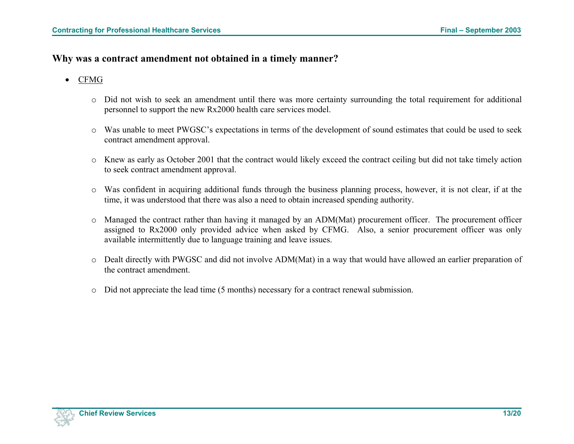### **Why was a contract amendment not obtained in a timely manner?**

### • CFMG

- o Did not wish to seek an amendment until there was more certainty surrounding the total requirement for additional personnel to support the new Rx2000 health care services model.
- <sup>o</sup>Was unable to meet PWGSC's expectations in terms of the development of sound estimates that could be used to seek contract amendment approval.
- <sup>o</sup>Knew as early as October 2001 that the contract would likely exceed the contract ceiling but did not take timely action to seek contract amendment approval.
- <sup>o</sup>Was confident in acquiring additional funds through the business planning process, however, it is not clear, if at the time, it was understood that there was also a need to obtain increased spending authority.
- <sup>o</sup>Managed the contract rather than having it managed by an ADM(Mat) procurement officer. The procurement officer assigned to Rx2000 only provided advice when asked by CFMG. Also, a senior procurement officer was only available intermittently due to language training and leave issues.
- $\circ$  Dealt directly with PWGSC and did not involve ADM(Mat) in a way that would have allowed an earlier preparation of the contract amendment.
- $\circ$  Did not appreciate the lead time (5 months) necessary for a contract renewal submission.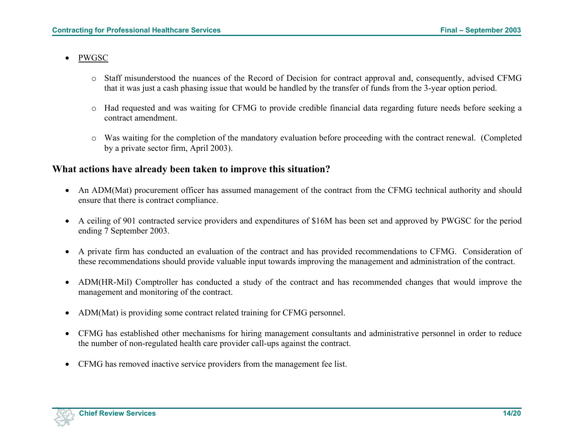### • PWGSC

- $\circ$  Staff misunderstood the nuances of the Record of Decision for contract approval and, consequently, advised CFMG that it was just a cash phasing issue that would be handled by the transfer of funds from the 3-year option period.
- $\circ$  Had requested and was waiting for CFMG to provide credible financial data regarding future needs before seeking a contract amendment.
- <sup>o</sup>Was waiting for the completion of the mandatory evaluation before proceeding with the contract renewal. (Completed by a private sector firm, April 2003).

### **What actions have already been taken to improve this situation?**

- An ADM(Mat) procurement officer has assumed management of the contract from the CFMG technical authority and should ensure that there is contract compliance.
- A ceiling of 901 contracted service providers and expenditures of \$16M has been set and approved by PWGSC for the period ending 7 September 2003.
- A private firm has conducted an evaluation of the contract and has provided recommendations to CFMG. Consideration of these recommendations should provide valuable input towards improving the management and administration of the contract.
- ADM(HR-Mil) Comptroller has conducted a study of the contract and has recommended changes that would improve the management and monitoring of the contract.
- ADM(Mat) is providing some contract related training for CFMG personnel.
- CFMG has established other mechanisms for hiring management consultants and administrative personnel in order to reduce the number of non-regulated health care provider call-ups against the contract.
- CFMG has removed inactive service providers from the management fee list.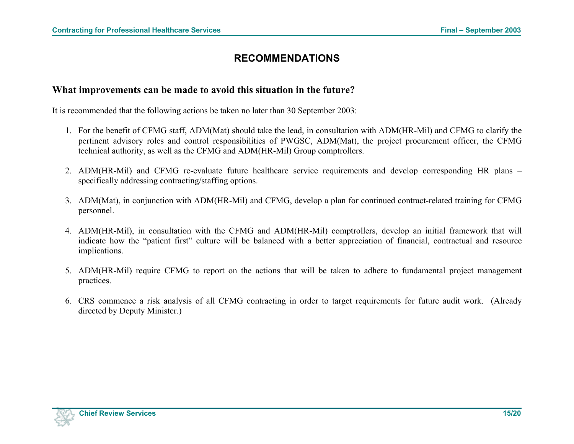## **RECOMMENDATIONS**

### <span id="page-19-0"></span>**What improvements can be made to avoid this situation in the future?**

It is recommended that the following actions be taken no later than 30 September 2003:

- 1. For the benefit of CFMG staff, ADM(Mat) should take the lead, in consultation with ADM(HR-Mil) and CFMG to clarify the pertinent advisory roles and control responsibilities of PWGSC, ADM(Mat), the project procurement officer, the CFMG technical authority, as well as the CFMG and ADM(HR-Mil) Group comptrollers.
- 2. ADM(HR-Mil) and CFMG re-evaluate future healthcare service requirements and develop corresponding HR plans specifically addressing contracting/staffing options.
- 3. ADM(Mat), in conjunction with ADM(HR-Mil) and CFMG, develop a plan for continued contract-related training for CFMG personnel.
- 4. ADM(HR-Mil), in consultation with the CFMG and ADM(HR-Mil) comptrollers, develop an initial framework that will indicate how the "patient first" culture will be balanced with a better appreciation of financial, contractual and resource implications.
- 5. ADM(HR-Mil) require CFMG to report on the actions that will be taken to adhere to fundamental project management practices.
- 6. CRS commence a risk analysis of all CFMG contracting in order to target requirements for future audit work. (Already directed by Deputy Minister.)

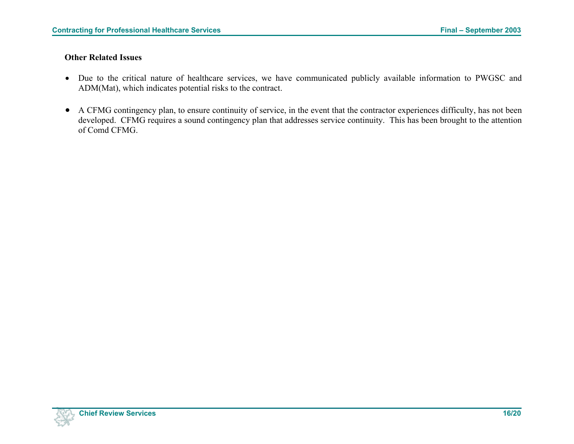#### **Other Related Issues**

- Due to the critical nature of healthcare services, we have communicated publicly available information to PWGSC and ADM(Mat), which indicates potential risks to the contract.
- A CFMG contingency plan, to ensure continuity of service, in the event that the contractor experiences difficulty, has not been developed. CFMG requires a sound contingency plan that addresses service continuity. This has been brought to the attention of Comd CFMG.

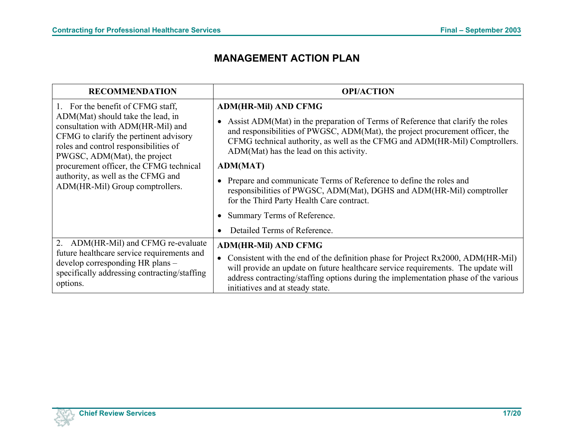## **MANAGEMENT ACTION PLAN**

<span id="page-21-0"></span>

| <b>RECOMMENDATION</b>                                                                                                                                                                                                                                                                                                                              | <b>OPI/ACTION</b>                                                                                                                                                                                                                                                                                                                                                                                                                                                                                                                                     |
|----------------------------------------------------------------------------------------------------------------------------------------------------------------------------------------------------------------------------------------------------------------------------------------------------------------------------------------------------|-------------------------------------------------------------------------------------------------------------------------------------------------------------------------------------------------------------------------------------------------------------------------------------------------------------------------------------------------------------------------------------------------------------------------------------------------------------------------------------------------------------------------------------------------------|
| 1. For the benefit of CFMG staff,<br>ADM(Mat) should take the lead, in<br>consultation with ADM(HR-Mil) and<br>CFMG to clarify the pertinent advisory<br>roles and control responsibilities of<br>PWGSC, ADM(Mat), the project<br>procurement officer, the CFMG technical<br>authority, as well as the CFMG and<br>ADM(HR-Mil) Group comptrollers. | <b>ADM(HR-Mil) AND CFMG</b><br>Assist ADM(Mat) in the preparation of Terms of Reference that clarify the roles<br>$\bullet$<br>and responsibilities of PWGSC, ADM(Mat), the project procurement officer, the<br>CFMG technical authority, as well as the CFMG and ADM(HR-Mil) Comptrollers.<br>ADM(Mat) has the lead on this activity.<br><b>ADM(MAT)</b><br>Prepare and communicate Terms of Reference to define the roles and<br>responsibilities of PWGSC, ADM(Mat), DGHS and ADM(HR-Mil) comptroller<br>for the Third Party Health Care contract. |
|                                                                                                                                                                                                                                                                                                                                                    | Summary Terms of Reference.                                                                                                                                                                                                                                                                                                                                                                                                                                                                                                                           |
|                                                                                                                                                                                                                                                                                                                                                    | Detailed Terms of Reference.<br>$\bullet$                                                                                                                                                                                                                                                                                                                                                                                                                                                                                                             |
| 2. ADM(HR-Mil) and CFMG re-evaluate<br>future healthcare service requirements and<br>develop corresponding HR plans -<br>specifically addressing contracting/staffing<br>options.                                                                                                                                                                  | <b>ADM(HR-Mil) AND CFMG</b><br>Consistent with the end of the definition phase for Project Rx2000, ADM(HR-Mil)<br>will provide an update on future healthcare service requirements. The update will<br>address contracting/staffing options during the implementation phase of the various<br>initiatives and at steady state.                                                                                                                                                                                                                        |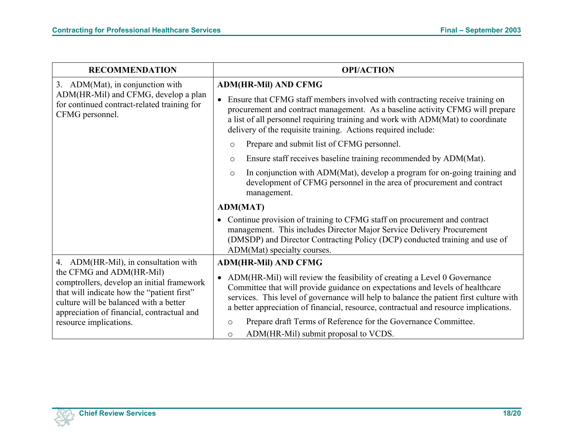| <b>RECOMMENDATION</b>                                                                                                                                                                                                                  | <b>OPI/ACTION</b>                                                                                                                                                                                                                                                                                                                                                                                                                     |
|----------------------------------------------------------------------------------------------------------------------------------------------------------------------------------------------------------------------------------------|---------------------------------------------------------------------------------------------------------------------------------------------------------------------------------------------------------------------------------------------------------------------------------------------------------------------------------------------------------------------------------------------------------------------------------------|
| 3. ADM(Mat), in conjunction with                                                                                                                                                                                                       | <b>ADM(HR-Mil) AND CFMG</b>                                                                                                                                                                                                                                                                                                                                                                                                           |
| ADM(HR-Mil) and CFMG, develop a plan<br>for continued contract-related training for<br>CFMG personnel.                                                                                                                                 | Ensure that CFMG staff members involved with contracting receive training on<br>$\bullet$<br>procurement and contract management. As a baseline activity CFMG will prepare<br>a list of all personnel requiring training and work with ADM(Mat) to coordinate<br>delivery of the requisite training. Actions required include:                                                                                                        |
|                                                                                                                                                                                                                                        | Prepare and submit list of CFMG personnel.<br>$\circ$                                                                                                                                                                                                                                                                                                                                                                                 |
|                                                                                                                                                                                                                                        | Ensure staff receives baseline training recommended by ADM(Mat).<br>$\circ$                                                                                                                                                                                                                                                                                                                                                           |
|                                                                                                                                                                                                                                        | In conjunction with ADM(Mat), develop a program for on-going training and<br>$\circ$<br>development of CFMG personnel in the area of procurement and contract<br>management.                                                                                                                                                                                                                                                          |
|                                                                                                                                                                                                                                        | <b>ADM(MAT)</b>                                                                                                                                                                                                                                                                                                                                                                                                                       |
|                                                                                                                                                                                                                                        | Continue provision of training to CFMG staff on procurement and contract<br>management. This includes Director Major Service Delivery Procurement<br>(DMSDP) and Director Contracting Policy (DCP) conducted training and use of<br>ADM(Mat) specialty courses.                                                                                                                                                                       |
| 4. ADM(HR-Mil), in consultation with                                                                                                                                                                                                   | <b>ADM(HR-Mil) AND CFMG</b>                                                                                                                                                                                                                                                                                                                                                                                                           |
| the CFMG and ADM(HR-Mil)<br>comptrollers, develop an initial framework<br>that will indicate how the "patient first"<br>culture will be balanced with a better<br>appreciation of financial, contractual and<br>resource implications. | ADM(HR-Mil) will review the feasibility of creating a Level 0 Governance<br>$\bullet$<br>Committee that will provide guidance on expectations and levels of healthcare<br>services. This level of governance will help to balance the patient first culture with<br>a better appreciation of financial, resource, contractual and resource implications.<br>Prepare draft Terms of Reference for the Governance Committee.<br>$\circ$ |
|                                                                                                                                                                                                                                        | ADM(HR-Mil) submit proposal to VCDS.<br>$\circ$                                                                                                                                                                                                                                                                                                                                                                                       |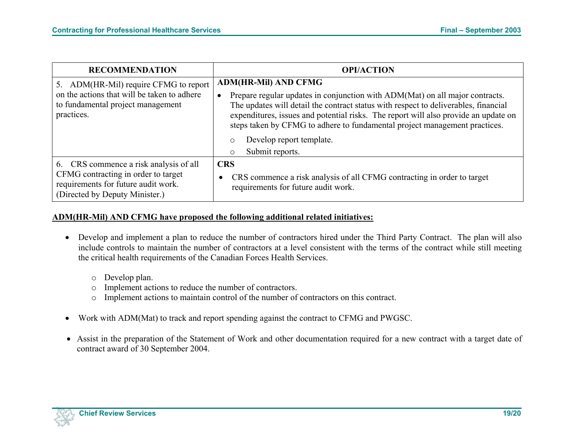| <b>RECOMMENDATION</b>                                                                                                                                  | <b>OPI/ACTION</b>                                                                                                                                                                                                                                                                                                                                                                                                           |
|--------------------------------------------------------------------------------------------------------------------------------------------------------|-----------------------------------------------------------------------------------------------------------------------------------------------------------------------------------------------------------------------------------------------------------------------------------------------------------------------------------------------------------------------------------------------------------------------------|
| 5. ADM(HR-Mil) require CFMG to report<br>on the actions that will be taken to adhere<br>to fundamental project management<br>practices.                | <b>ADM(HR-Mil) AND CFMG</b><br>Prepare regular updates in conjunction with ADM(Mat) on all major contracts.<br>$\bullet$<br>The updates will detail the contract status with respect to deliverables, financial<br>expenditures, issues and potential risks. The report will also provide an update on<br>steps taken by CFMG to adhere to fundamental project management practices.<br>Develop report template.<br>$\circ$ |
| 6. CRS commence a risk analysis of all<br>CFMG contracting in order to target<br>requirements for future audit work.<br>(Directed by Deputy Minister.) | Submit reports.<br>$\circ$<br><b>CRS</b><br>CRS commence a risk analysis of all CFMG contracting in order to target<br>requirements for future audit work.                                                                                                                                                                                                                                                                  |

#### **ADM(HR-Mil) AND CFMG have proposed the following additional related initiatives:**

- Develop and implement a plan to reduce the number of contractors hired under the Third Party Contract. The plan will also include controls to maintain the number of contractors at a level consistent with the terms of the contract while still meeting the critical health requirements of the Canadian Forces Health Services.
	- o Develop plan.
	- o Implement actions to reduce the number of contractors.
	- <sup>o</sup>Implement actions to maintain control of the number of contractors on this contract.
- Work with ADM(Mat) to track and report spending against the contract to CFMG and PWGSC.
- Assist in the preparation of the Statement of Work and other documentation required for a new contract with a target date of contract award of 30 September 2004.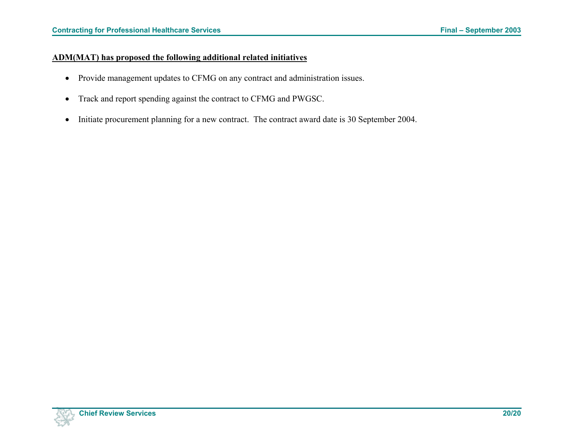### **ADM(MAT) has proposed the following additional related initiatives**

- Provide management updates to CFMG on any contract and administration issues.
- Track and report spending against the contract to CFMG and PWGSC.
- Initiate procurement planning for a new contract. The contract award date is 30 September 2004.

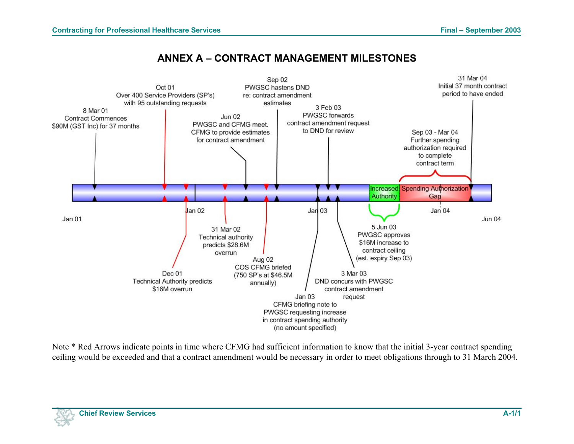## **ANNEX A – CONTRACT MANAGEMENT MILESTONES**

<span id="page-25-0"></span>

Note \* Red Arrows indicate points in time where CFMG had sufficient information to know that the initial 3-year contract spending ceiling would be exceeded and that a contract amendment would be necessary in order to meet obligations through to 31 March 2004.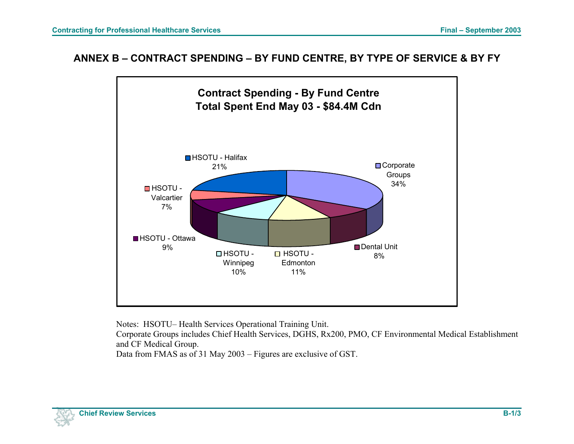## <span id="page-26-0"></span>**ANNEX B – CONTRACT SPENDING – BY FUND CENTRE, BY TYPE OF SERVICE & BY FY**



Notes: HSOTU– Health Services Operational Training Unit.

Corporate Groups includes Chief Health Services, DGHS, Rx200, PMO, CF Environmental Medical Establishment and CF Medical Group.

Data from FMAS as of 31 May 2003 – Figures are exclusive of GST.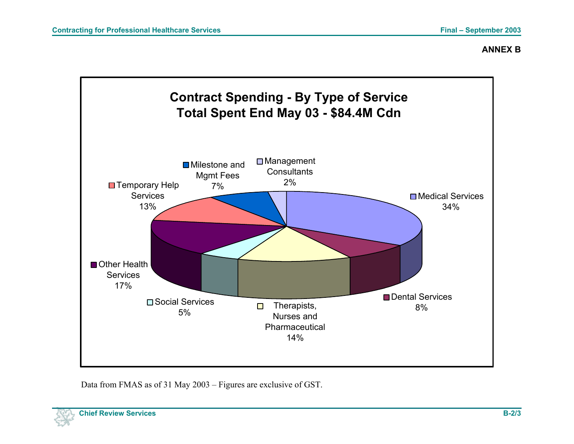### **ANNEX B**



Data from FMAS as of 31 May 2003 – Figures are exclusive of GST.